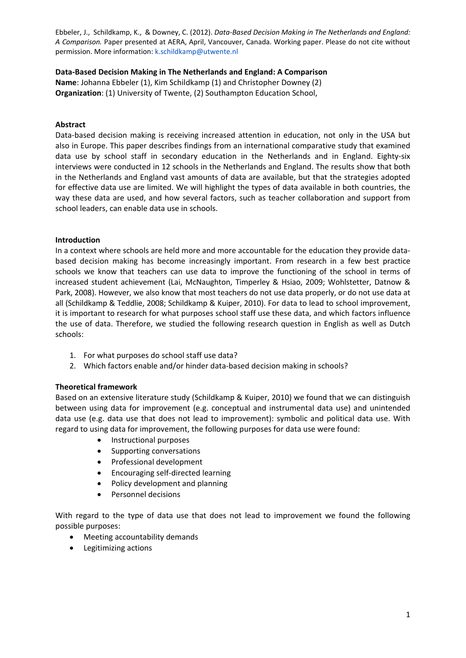## **DataͲBased Decision Making in The Netherlands and England: A Comparison**

**Name**: Johanna Ebbeler (1), Kim Schildkamp (1) and Christopher Downey (2) **Organization**: (1) University of Twente, (2) Southampton Education School,

## **Abstract**

Data-based decision making is receiving increased attention in education, not only in the USA but also in Europe. This paper describes findings from an international comparative study that examined data use by school staff in secondary education in the Netherlands and in England. Eighty-six interviews were conducted in 12 schools in the Netherlands and England. The results show that both in the Netherlands and England vast amounts of data are available, but that the strategies adopted for effective data use are limited. We will highlight the types of data available in both countries, the way these data are used, and how several factors, such as teacher collaboration and support from school leaders, can enable data use in schools.

# **Introduction**

In a context where schools are held more and more accountable for the education they provide databased decision making has become increasingly important. From research in a few best practice schools we know that teachers can use data to improve the functioning of the school in terms of increased student achievement (Lai, McNaughton, Timperley & Hsiao, 2009; Wohlstetter, Datnow & Park, 2008). However, we also know that most teachers do not use data properly, or do not use data at all (Schildkamp & Teddlie, 2008; Schildkamp & Kuiper, 2010). For data to lead to school improvement, it is important to research for what purposes school staff use these data, and which factors influence the use of data. Therefore, we studied the following research question in English as well as Dutch schools:

- 1. For what purposes do school staff use data?
- 2. Which factors enable and/or hinder data-based decision making in schools?

### **Theoretical framework**

Based on an extensive literature study (Schildkamp & Kuiper, 2010) we found that we can distinguish between using data for improvement (e.g. conceptual and instrumental data use) and unintended data use (e.g. data use that does not lead to improvement): symbolic and political data use. With regard to using data for improvement, the following purposes for data use were found:

- Instructional purposes
- Supporting conversations
- Professional development
- Encouraging self-directed learning
- Policy development and planning
- Personnel decisions

With regard to the type of data use that does not lead to improvement we found the following possible purposes:

- Meeting accountability demands
- Legitimizing actions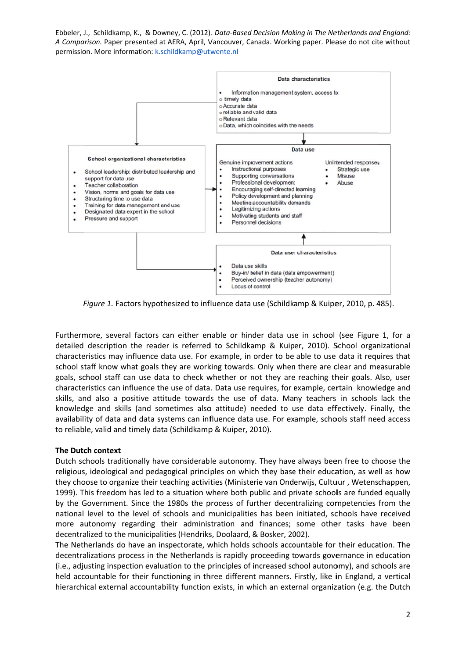

Figure 1. Factors hypothesized to influence data use (Schildkamp & Kuiper, 2010, p. 485).

Furthermore, several factors can either enable or hinder data use in school (see Figure 1, for a detailed description the reader is referred to Schildkamp & Kuiper, 2010). School organizational characteristics may influence data use. For example, in order to be able to use data it requires that school staff know what goals they are working towards. Only when there are clear and measurable goals, school staff can use data to check whether or not they are reaching their goals. Also, user characteristics can influence the use of data. Data use requires, for example, certain knowledge and skills, and also a positive attitude towards the use of data. Many teachers in schools lack the knowledge and skills (and sometimes also attitude) needed to use data effectively. Finally, the availability of data and data systems can influence data use. For example, schools staff need access to reliable, valid and timely data (Schildkamp & Kuiper, 2010).

# **The Dutc ch context**

Dutch schools traditionally have considerable autonomy. They have always been free to choose the religious, ideological and pedagogical principles on which they base their education, as well as how they choose to organize their teaching activities (Ministerie van Onderwijs, Cultuur , Wetenschappen, 1999). This freedom has led to a situation where both public and private schools are funded equally by the Government. Since the 1980s the process of further decentralizing competencies from the national level to the level of schools and municipalities has been initiated, schools have received more autonomy regarding their administration and finances; some other tasks have been decentralized to the municipalities (Hendriks, Doolaard, & Bosker, 2002).

The Netherlands do have an inspectorate, which holds schools accountable for their education. The decentralizations process in the Netherlands is rapidly proceeding towards governance in education (i.e., adjusting inspection evaluation to the principles of increased school autonomy), and schools are held accountable for their functioning in three different manners. Firstly, like in England, a vertical hierarchical external accountability function exists, in which an external organization (e.g. the Dutch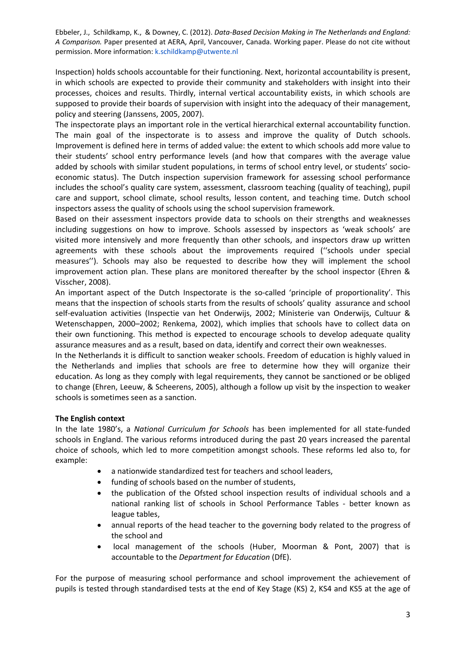Inspection) holds schools accountable for their functioning. Next, horizontal accountability is present, in which schools are expected to provide their community and stakeholders with insight into their processes, choices and results. Thirdly, internal vertical accountability exists, in which schools are supposed to provide their boards of supervision with insight into the adequacy of their management, policy and steering (Janssens, 2005, 2007).

The inspectorate plays an important role in the vertical hierarchical external accountability function. The main goal of the inspectorate is to assess and improve the quality of Dutch schools. Improvement is defined here in terms of added value: the extent to which schools add more value to their students' school entry performance levels (and how that compares with the average value added by schools with similar student populations, in terms of school entry level, or students' socioeconomic status). The Dutch inspection supervision framework for assessing school performance includes the school's quality care system, assessment, classroom teaching (quality of teaching), pupil care and support, school climate, school results, lesson content, and teaching time. Dutch school inspectors assess the quality of schools using the school supervision framework.

Based on their assessment inspectors provide data to schools on their strengths and weaknesses including suggestions on how to improve. Schools assessed by inspectors as 'weak schools' are visited more intensively and more frequently than other schools, and inspectors draw up written agreements with these schools about the improvements required (''schools under special measures''). Schools may also be requested to describe how they will implement the school improvement action plan. These plans are monitored thereafter by the school inspector (Ehren & Visscher, 2008).

An important aspect of the Dutch Inspectorate is the so-called 'principle of proportionality'. This means that the inspection of schools starts from the results of schools' quality assurance and school self-evaluation activities (Inspectie van het Onderwijs, 2002; Ministerie van Onderwijs, Cultuur & Wetenschappen, 2000–2002; Renkema, 2002), which implies that schools have to collect data on their own functioning. This method is expected to encourage schools to develop adequate quality assurance measures and as a result, based on data, identify and correct their own weaknesses.

In the Netherlands it is difficult to sanction weaker schools. Freedom of education is highly valued in the Netherlands and implies that schools are free to determine how they will organize their education. As long as they comply with legal requirements, they cannot be sanctioned or be obliged to change (Ehren, Leeuw, & Scheerens, 2005), although a follow up visit by the inspection to weaker schools is sometimes seen as a sanction.

# **The English context**

In the late 1980's, a *National Curriculum for Schools* has been implemented for all state-funded schools in England. The various reforms introduced during the past 20 years increased the parental choice of schools, which led to more competition amongst schools. These reforms led also to, for example:

- a nationwide standardized test for teachers and school leaders,
- funding of schools based on the number of students,
- the publication of the Ofsted school inspection results of individual schools and a national ranking list of schools in School Performance Tables - better known as league tables,
- annual reports of the head teacher to the governing body related to the progress of the school and
- local management of the schools (Huber, Moorman & Pont, 2007) that is accountable to the *Department for Education* (DfE).

For the purpose of measuring school performance and school improvement the achievement of pupils is tested through standardised tests at the end of Key Stage (KS) 2, KS4 and KS5 at the age of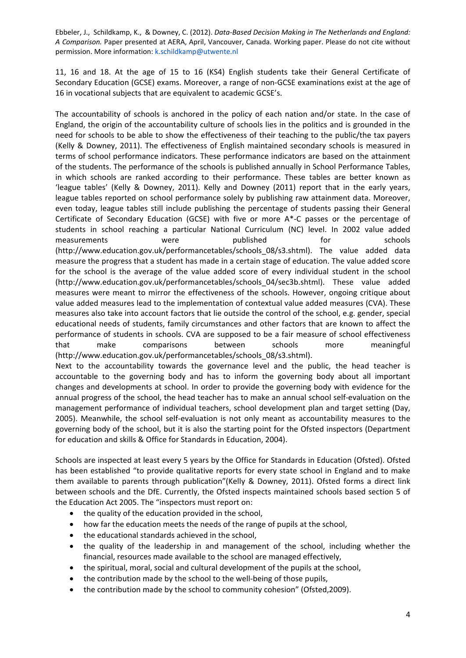11, 16 and 18. At the age of 15 to 16 (KS4) English students take their General Certificate of Secondary Education (GCSE) exams. Moreover, a range of non-GCSE examinations exist at the age of 16 in vocational subjects that are equivalent to academic GCSE's.

The accountability of schools is anchored in the policy of each nation and/or state. In the case of England, the origin of the accountability culture of schools lies in the politics and is grounded in the need for schools to be able to show the effectiveness of their teaching to the public/the tax payers (Kelly & Downey, 2011). The effectiveness of English maintained secondary schools is measured in terms of school performance indicators. These performance indicators are based on the attainment of the students. The performance of the schools is published annually in School Performance Tables, in which schools are ranked according to their performance. These tables are better known as 'league tables' (Kelly & Downey, 2011). Kelly and Downey (2011) report that in the early years, league tables reported on school performance solely by publishing raw attainment data. Moreover, even today, league tables still include publishing the percentage of students passing their General Certificate of Secondary Education (GCSE) with five or more A\*-C passes or the percentage of students in school reaching a particular National Curriculum (NC) level. In 2002 value added measurements were published for schools (http://www.education.gov.uk/performancetables/schools\_08/s3.shtml). The value added data measure the progress that a student has made in a certain stage of education. The value added score for the school is the average of the value added score of every individual student in the school (http://www.education.gov.uk/performancetables/schools\_04/sec3b.shtml). These value added measures were meant to mirror the effectiveness of the schools. However, ongoing critique about value added measures lead to the implementation of contextual value added measures (CVA). These measures also take into account factors that lie outside the control of the school, e.g. gender, special educational needs of students, family circumstances and other factors that are known to affect the performance of students in schools. CVA are supposed to be a fair measure of school effectiveness that make comparisons between schools more meaningful (http://www.education.gov.uk/performancetables/schools\_08/s3.shtml). Next to the accountability towards the governance level and the public, the head teacher is

accountable to the governing body and has to inform the governing body about all important changes and developments at school. In order to provide the governing body with evidence for the annual progress of the school, the head teacher has to make an annual school self-evaluation on the management performance of individual teachers, school development plan and target setting (Day, 2005). Meanwhile, the school self-evaluation is not only meant as accountability measures to the governing body of the school, but it is also the starting point for the Ofsted inspectors (Department for education and skills & Office for Standards in Education, 2004).

Schools are inspected at least every 5 years by the Office for Standards in Education (Ofsted). Ofsted has been established "to provide qualitative reports for every state school in England and to make them available to parents through publication"(Kelly & Downey, 2011). Ofsted forms a direct link between schools and the DfE. Currently, the Ofsted inspects maintained schools based section 5 of the Education Act 2005. The "inspectors must report on:

- the quality of the education provided in the school,
- how far the education meets the needs of the range of pupils at the school,
- the educational standards achieved in the school,
- the quality of the leadership in and management of the school, including whether the financial, resources made available to the school are managed effectively,
- the spiritual, moral, social and cultural development of the pupils at the school,
- the contribution made by the school to the well-being of those pupils,
- the contribution made by the school to community cohesion" (Ofsted,2009).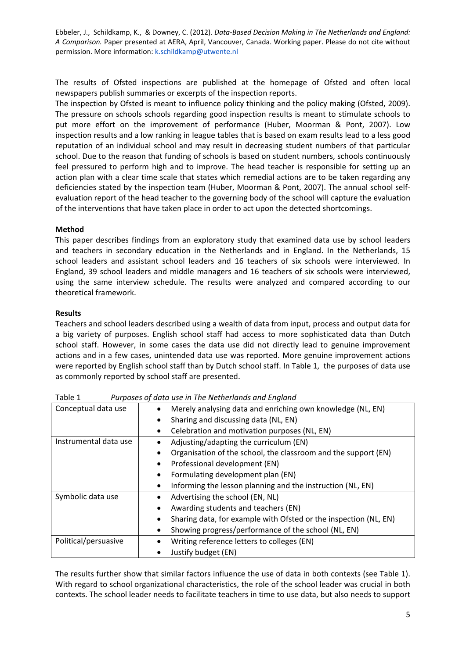The results of Ofsted inspections are published at the homepage of Ofsted and often local newspapers publish summaries or excerpts of the inspection reports.

The inspection by Ofsted is meant to influence policy thinking and the policy making (Ofsted, 2009). The pressure on schools schools regarding good inspection results is meant to stimulate schools to put more effort on the improvement of performance (Huber, Moorman & Pont, 2007). Low inspection results and a low ranking in league tables that is based on exam results lead to a less good reputation of an individual school and may result in decreasing student numbers of that particular school. Due to the reason that funding of schools is based on student numbers, schools continuously feel pressured to perform high and to improve. The head teacher is responsible for setting up an action plan with a clear time scale that states which remedial actions are to be taken regarding any deficiencies stated by the inspection team (Huber, Moorman & Pont, 2007). The annual school selfevaluation report of the head teacher to the governing body of the school will capture the evaluation of the interventions that have taken place in order to act upon the detected shortcomings.

### **Method**

This paper describes findings from an exploratory study that examined data use by school leaders and teachers in secondary education in the Netherlands and in England. In the Netherlands, 15 school leaders and assistant school leaders and 16 teachers of six schools were interviewed. In England, 39 school leaders and middle managers and 16 teachers of six schools were interviewed, using the same interview schedule. The results were analyzed and compared according to our theoretical framework.

# **Results**

Teachers and school leaders described using a wealth of data from input, process and output data for a big variety of purposes. English school staff had access to more sophisticated data than Dutch school staff. However, in some cases the data use did not directly lead to genuine improvement actions and in a few cases, unintended data use was reported. More genuine improvement actions were reported by English school staff than by Dutch school staff. In Table 1, the purposes of data use as commonly reported by school staff are presented.

| Conceptual data use   | Merely analysing data and enriching own knowledge (NL, EN)<br>Sharing and discussing data (NL, EN)<br>$\bullet$ |  |
|-----------------------|-----------------------------------------------------------------------------------------------------------------|--|
|                       |                                                                                                                 |  |
|                       | Celebration and motivation purposes (NL, EN)                                                                    |  |
| Instrumental data use | Adjusting/adapting the curriculum (EN)                                                                          |  |
|                       | Organisation of the school, the classroom and the support (EN)                                                  |  |
|                       | Professional development (EN)                                                                                   |  |
|                       | Formulating development plan (EN)                                                                               |  |
|                       | Informing the lesson planning and the instruction (NL, EN)                                                      |  |
| Symbolic data use     | Advertising the school (EN, NL)                                                                                 |  |
|                       | Awarding students and teachers (EN)<br>٠                                                                        |  |
|                       | Sharing data, for example with Ofsted or the inspection (NL, EN)<br>٠                                           |  |
|                       | Showing progress/performance of the school (NL, EN)                                                             |  |
| Political/persuasive  | Writing reference letters to colleges (EN)                                                                      |  |
|                       | Justify budget (EN)                                                                                             |  |

Table 1 *Purposes of data use in The Netherlands and England*

The results further show that similar factors influence the use of data in both contexts (see Table 1). With regard to school organizational characteristics, the role of the school leader was crucial in both contexts. The school leader needs to facilitate teachers in time to use data, but also needs to support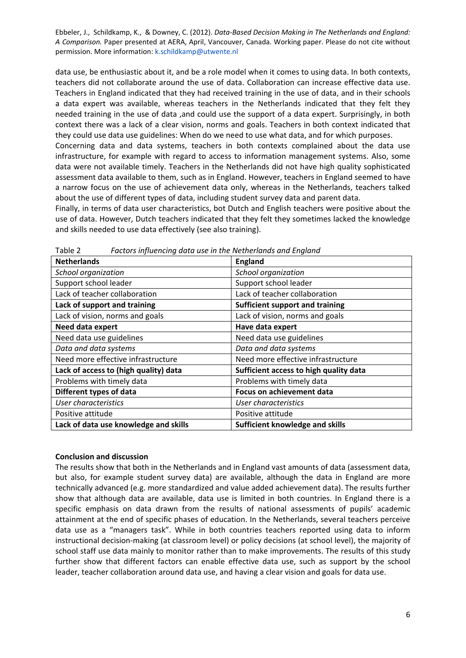data use, be enthusiastic about it, and be a role model when it comes to using data. In both contexts, teachers did not collaborate around the use of data. Collaboration can increase effective data use. Teachers in England indicated that they had received training in the use of data, and in their schools a data expert was available, whereas teachers in the Netherlands indicated that they felt they needed training in the use of data ,and could use the support of a data expert. Surprisingly, in both context there was a lack of a clear vision, norms and goals. Teachers in both context indicated that they could use data use guidelines: When do we need to use what data, and for which purposes.

Concerning data and data systems, teachers in both contexts complained about the data use infrastructure, for example with regard to access to information management systems. Also, some data were not available timely. Teachers in the Netherlands did not have high quality sophisticated assessment data available to them, such as in England. However, teachers in England seemed to have a narrow focus on the use of achievement data only, whereas in the Netherlands, teachers talked about the use of different types of data, including student survey data and parent data.

Finally, in terms of data user characteristics, bot Dutch and English teachers were positive about the use of data. However, Dutch teachers indicated that they felt they sometimes lacked the knowledge and skills needed to use data effectively (see also training).

| <b>Netherlands</b>                    | <b>England</b>                         |
|---------------------------------------|----------------------------------------|
| School organization                   | School organization                    |
| Support school leader                 | Support school leader                  |
| Lack of teacher collaboration         | Lack of teacher collaboration          |
| Lack of support and training          | <b>Sufficient support and training</b> |
| Lack of vision, norms and goals       | Lack of vision, norms and goals        |
| Need data expert                      | Have data expert                       |
| Need data use guidelines              | Need data use guidelines               |
| Data and data systems                 | Data and data systems                  |
| Need more effective infrastructure    | Need more effective infrastructure     |
| Lack of access to (high quality) data | Sufficient access to high quality data |
| Problems with timely data             | Problems with timely data              |
| Different types of data               | <b>Focus on achievement data</b>       |
| User characteristics                  | User characteristics                   |
| Positive attitude                     | Positive attitude                      |
| Lack of data use knowledge and skills | Sufficient knowledge and skills        |

Table 2 *Factors influencing data use in the Netherlands and England*

### **Conclusion and discussion**

The results show that both in the Netherlands and in England vast amounts of data (assessment data, but also, for example student survey data) are available, although the data in England are more technically advanced (e.g. more standardized and value added achievement data). The results further show that although data are available, data use is limited in both countries. In England there is a specific emphasis on data drawn from the results of national assessments of pupils' academic attainment at the end of specific phases of education. In the Netherlands, several teachers perceive data use as a "managers task". While in both countries teachers reported using data to inform instructional decision-making (at classroom level) or policy decisions (at school level), the majority of school staff use data mainly to monitor rather than to make improvements. The results of this study further show that different factors can enable effective data use, such as support by the school leader, teacher collaboration around data use, and having a clear vision and goals for data use.